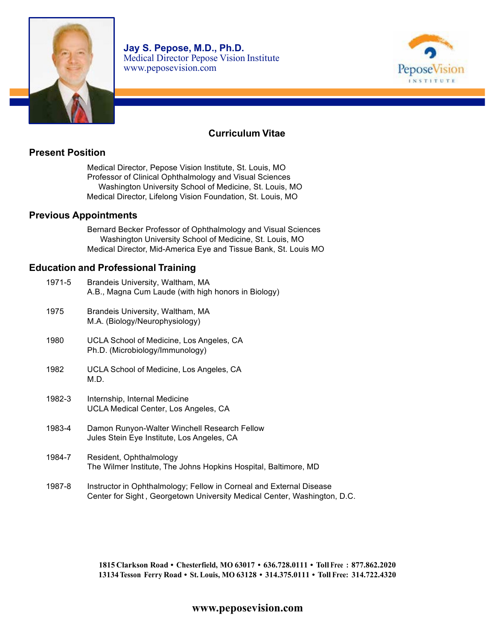



# **Curriculum Vitae**

# **Present Position**

Medical Director, Pepose Vision Institute, St. Louis, MO Professor of Clinical Ophthalmology and Visual Sciences Washington University School of Medicine, St. Louis, MO Medical Director, Lifelong Vision Foundation, St. Louis, MO

#### **Previous Appointments**

Bernard Becker Professor of Ophthalmology and Visual Sciences Washington University School of Medicine, St. Louis, MO Medical Director, Mid-America Eye and Tissue Bank, St. Louis MO

### **Education and Professional Training**

| 1971-5 | Brandeis University, Waltham, MA<br>A.B., Magna Cum Laude (with high honors in Biology)                                                         |
|--------|-------------------------------------------------------------------------------------------------------------------------------------------------|
| 1975   | Brandeis University, Waltham, MA<br>M.A. (Biology/Neurophysiology)                                                                              |
| 1980   | UCLA School of Medicine, Los Angeles, CA<br>Ph.D. (Microbiology/Immunology)                                                                     |
| 1982   | UCLA School of Medicine, Los Angeles, CA<br>M.D.                                                                                                |
| 1982-3 | Internship, Internal Medicine<br>UCLA Medical Center, Los Angeles, CA                                                                           |
| 1983-4 | Damon Runyon-Walter Winchell Research Fellow<br>Jules Stein Eye Institute, Los Angeles, CA                                                      |
| 1984-7 | Resident, Ophthalmology<br>The Wilmer Institute, The Johns Hopkins Hospital, Baltimore, MD                                                      |
| 1987-8 | Instructor in Ophthalmology; Fellow in Corneal and External Disease<br>Center for Sight, Georgetown University Medical Center, Washington, D.C. |

**1815 Clarkson Road • Chesterfield, MO 63017 • 636.728.0111 • Toll Free : 877.862.2020 13134 Tesson Ferry Road • St. Louis, MO 63128 • 314.375.0111 • Toll Free: 314.722.4320**

# **www.peposevision.com**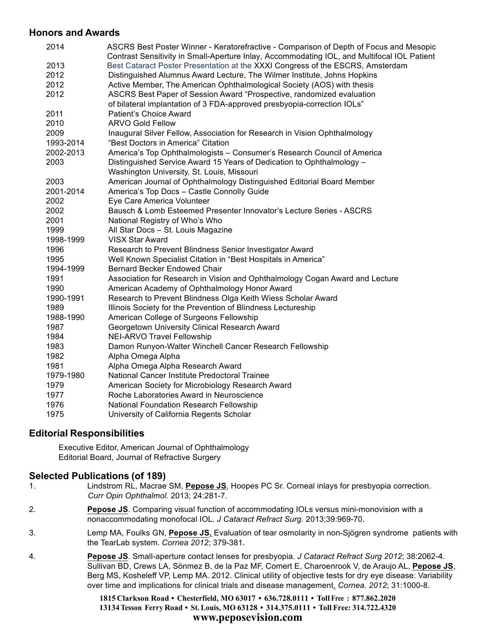### **Honors and Awards**

| 2014      | ASCRS Best Poster Winner - Keratorefractive - Comparison of Depth of Focus and Mesopic                                                                                        |
|-----------|-------------------------------------------------------------------------------------------------------------------------------------------------------------------------------|
| 2013      | Contrast Sensitivity in Small-Aperture Inlay, Accommodating IOL, and Multifocal IOL Patient<br>Best Cataract Poster Presentation at the XXXI Congress of the ESCRS, Amsterdam |
| 2012      | Distinguished Alumnus Award Lecture, The Wilmer Institute, Johns Hopkins                                                                                                      |
| 2012      | Active Member, The American Ophthalmological Society (AOS) with thesis                                                                                                        |
| 2012      | ASCRS Best Paper of Session Award "Prospective, randomized evaluation                                                                                                         |
|           | of bilateral implantation of 3 FDA-approved presbyopia-correction IOLs"                                                                                                       |
| 2011      | Patient's Choice Award                                                                                                                                                        |
| 2010      | <b>ARVO Gold Fellow</b>                                                                                                                                                       |
| 2009      | Inaugural Silver Fellow, Association for Research in Vision Ophthalmology                                                                                                     |
| 1993-2014 | "Best Doctors in America" Citation                                                                                                                                            |
| 2002-2013 | America's Top Ophthalmologists - Consumer's Research Council of America                                                                                                       |
| 2003      | Distinguished Service Award 15 Years of Dedication to Ophthalmology -                                                                                                         |
|           | Washington University, St. Louis, Missouri                                                                                                                                    |
| 2003      | American Journal of Ophthalmology Distinguished Editorial Board Member                                                                                                        |
| 2001-2014 | America's Top Docs - Castle Connolly Guide                                                                                                                                    |
| 2002      | Eye Care America Volunteer                                                                                                                                                    |
| 2002      | Bausch & Lomb Esteemed Presenter Innovator's Lecture Series - ASCRS                                                                                                           |
| 2001      | National Registry of Who's Who                                                                                                                                                |
| 1999      | All Star Docs - St. Louis Magazine                                                                                                                                            |
| 1998-1999 | <b>VISX Star Award</b>                                                                                                                                                        |
| 1996      | Research to Prevent Blindness Senior Investigator Award                                                                                                                       |
| 1995      | Well Known Specialist Citation in "Best Hospitals in America"                                                                                                                 |
| 1994-1999 | <b>Bernard Becker Endowed Chair</b>                                                                                                                                           |
| 1991      | Association for Research in Vision and Ophthalmology Cogan Award and Lecture                                                                                                  |
| 1990      | American Academy of Ophthalmology Honor Award                                                                                                                                 |
| 1990-1991 | Research to Prevent Blindness Olga Keith Wiess Scholar Award                                                                                                                  |
| 1989      | Illinois Society for the Prevention of Blindness Lectureship                                                                                                                  |
| 1988-1990 | American College of Surgeons Fellowship                                                                                                                                       |
| 1987      | Georgetown University Clinical Research Award                                                                                                                                 |
| 1984      | <b>NEI-ARVO Travel Fellowship</b>                                                                                                                                             |
| 1983      | Damon Runyon-Walter Winchell Cancer Research Fellowship                                                                                                                       |
| 1982      | Alpha Omega Alpha                                                                                                                                                             |
| 1981      | Alpha Omega Alpha Research Award                                                                                                                                              |
| 1979-1980 | National Cancer Institute Predoctoral Trainee                                                                                                                                 |
| 1979      | American Society for Microbiology Research Award                                                                                                                              |
| 1977      | Roche Laboratories Award in Neuroscience                                                                                                                                      |
| 1976      | National Foundation Research Fellowship                                                                                                                                       |
| 1975      | University of California Regents Scholar                                                                                                                                      |

# **Editorial Responsibilities**

Executive Editor, American Journal of Ophthalmology Editorial Board, Journal of Refractive Surgery

# **Selected Publications (of 189)**

- 1. Lindstrom RL, Macrae SM, **Pepose JS**, Hoopes PC Sr. Corneal inlays for presbyopia correction. *Curr Opin Ophthalmol.* 2013; 24:281-7.
- 2. **Pepose JS**. Comparing visual function of accommodating IOLs versus mini-monovision with a nonaccommodating monofocal IOL. *J Cataract Refract Surg.* 2013;39:969-70.
- 3. Lemp MA, Foulks GN, **Pepose JS.** Evaluation of tear osmolarity in non-Sjögren syndrome patients with the TearLab system. *Cornea 2012*; 379-381.
- 4. **Pepose JS**. Small-aperture contact lenses for presbyopia. *J Cataract Refract Surg 2012*; 38:2062-4. Sullivan BD, Crews LA, Sönmez B, de la Paz MF, Comert E, Charoenrook V, de Araujo AL, **Pepose JS**, Berg MS, Kosheleff VP, Lemp MA. 2012. Clinical utility of objective tests for dry eye disease: Variability over time and implications for clinical trials and disease management. *Cornea. 2012*; 31:1000-8.

**1815 Clarkson Road • Chesterfield, MO 63017 • 636.728.0111 • Toll Free : 877.862.2020 13134 Tesson Ferry Road • St. Louis, MO 63128 • 314.375.0111 • Toll Free: 314.722.4320 www.peposevision.com**